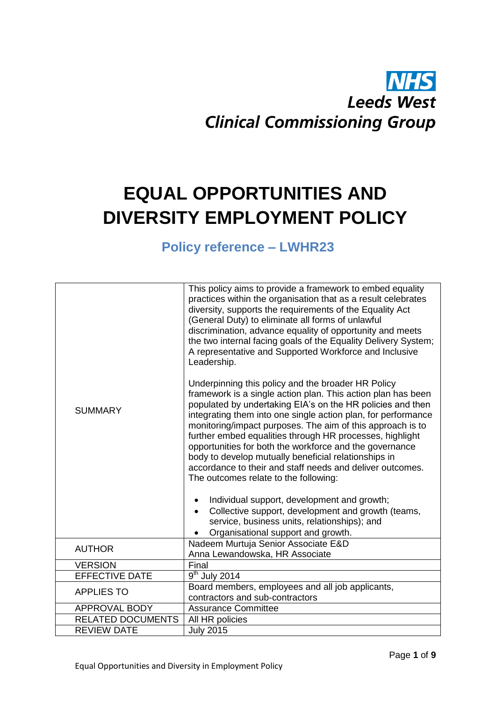# **Leeds West Clinical Commissioning Group**

## **EQUAL OPPORTUNITIES AND DIVERSITY EMPLOYMENT POLICY**

### **Policy reference – LWHR23**

| <b>SUMMARY</b>           | This policy aims to provide a framework to embed equality<br>practices within the organisation that as a result celebrates<br>diversity, supports the requirements of the Equality Act<br>(General Duty) to eliminate all forms of unlawful<br>discrimination, advance equality of opportunity and meets<br>the two internal facing goals of the Equality Delivery System;<br>A representative and Supported Workforce and Inclusive<br>Leadership.<br>Underpinning this policy and the broader HR Policy<br>framework is a single action plan. This action plan has been<br>populated by undertaking EIA's on the HR policies and then<br>integrating them into one single action plan, for performance<br>monitoring/impact purposes. The aim of this approach is to<br>further embed equalities through HR processes, highlight<br>opportunities for both the workforce and the governance<br>body to develop mutually beneficial relationships in<br>accordance to their and staff needs and deliver outcomes.<br>The outcomes relate to the following:<br>Individual support, development and growth;<br>Collective support, development and growth (teams,<br>$\bullet$<br>service, business units, relationships); and<br>Organisational support and growth. |  |  |
|--------------------------|---------------------------------------------------------------------------------------------------------------------------------------------------------------------------------------------------------------------------------------------------------------------------------------------------------------------------------------------------------------------------------------------------------------------------------------------------------------------------------------------------------------------------------------------------------------------------------------------------------------------------------------------------------------------------------------------------------------------------------------------------------------------------------------------------------------------------------------------------------------------------------------------------------------------------------------------------------------------------------------------------------------------------------------------------------------------------------------------------------------------------------------------------------------------------------------------------------------------------------------------------------------------|--|--|
| <b>AUTHOR</b>            | Nadeem Murtuja Senior Associate E&D<br>Anna Lewandowska, HR Associate                                                                                                                                                                                                                                                                                                                                                                                                                                                                                                                                                                                                                                                                                                                                                                                                                                                                                                                                                                                                                                                                                                                                                                                               |  |  |
| <b>VERSION</b>           | Final                                                                                                                                                                                                                                                                                                                                                                                                                                                                                                                                                                                                                                                                                                                                                                                                                                                                                                                                                                                                                                                                                                                                                                                                                                                               |  |  |
| <b>EFFECTIVE DATE</b>    | $\overline{9}^{th}$ July 2014                                                                                                                                                                                                                                                                                                                                                                                                                                                                                                                                                                                                                                                                                                                                                                                                                                                                                                                                                                                                                                                                                                                                                                                                                                       |  |  |
|                          | Board members, employees and all job applicants,                                                                                                                                                                                                                                                                                                                                                                                                                                                                                                                                                                                                                                                                                                                                                                                                                                                                                                                                                                                                                                                                                                                                                                                                                    |  |  |
| <b>APPLIES TO</b>        | contractors and sub-contractors                                                                                                                                                                                                                                                                                                                                                                                                                                                                                                                                                                                                                                                                                                                                                                                                                                                                                                                                                                                                                                                                                                                                                                                                                                     |  |  |
| <b>APPROVAL BODY</b>     | <b>Assurance Committee</b>                                                                                                                                                                                                                                                                                                                                                                                                                                                                                                                                                                                                                                                                                                                                                                                                                                                                                                                                                                                                                                                                                                                                                                                                                                          |  |  |
| <b>RELATED DOCUMENTS</b> | All HR policies                                                                                                                                                                                                                                                                                                                                                                                                                                                                                                                                                                                                                                                                                                                                                                                                                                                                                                                                                                                                                                                                                                                                                                                                                                                     |  |  |
| <b>REVIEW DATE</b>       | <b>July 2015</b>                                                                                                                                                                                                                                                                                                                                                                                                                                                                                                                                                                                                                                                                                                                                                                                                                                                                                                                                                                                                                                                                                                                                                                                                                                                    |  |  |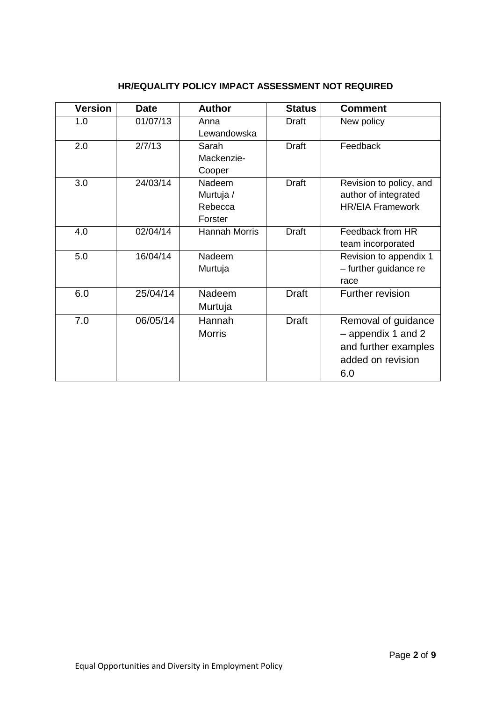| <b>Version</b> | <b>Date</b> | <b>Author</b>                             | <b>Status</b> | <b>Comment</b>                                                                                |
|----------------|-------------|-------------------------------------------|---------------|-----------------------------------------------------------------------------------------------|
| 1.0            | 01/07/13    | Anna<br>Lewandowska                       | <b>Draft</b>  | New policy                                                                                    |
| 2.0            | 2/7/13      | Sarah<br>Mackenzie-<br>Cooper             | <b>Draft</b>  | Feedback                                                                                      |
| 3.0            | 24/03/14    | Nadeem<br>Murtuja /<br>Rebecca<br>Forster | <b>Draft</b>  | Revision to policy, and<br>author of integrated<br><b>HR/EIA Framework</b>                    |
| 4.0            | 02/04/14    | <b>Hannah Morris</b>                      | <b>Draft</b>  | Feedback from HR<br>team incorporated                                                         |
| 5.0            | 16/04/14    | Nadeem<br>Murtuja                         |               | Revision to appendix 1<br>- further guidance re<br>race                                       |
| 6.0            | 25/04/14    | Nadeem<br>Murtuja                         | <b>Draft</b>  | <b>Further revision</b>                                                                       |
| 7.0            | 06/05/14    | Hannah<br><b>Morris</b>                   | <b>Draft</b>  | Removal of guidance<br>- appendix 1 and 2<br>and further examples<br>added on revision<br>6.0 |

#### **HR/EQUALITY POLICY IMPACT ASSESSMENT NOT REQUIRED**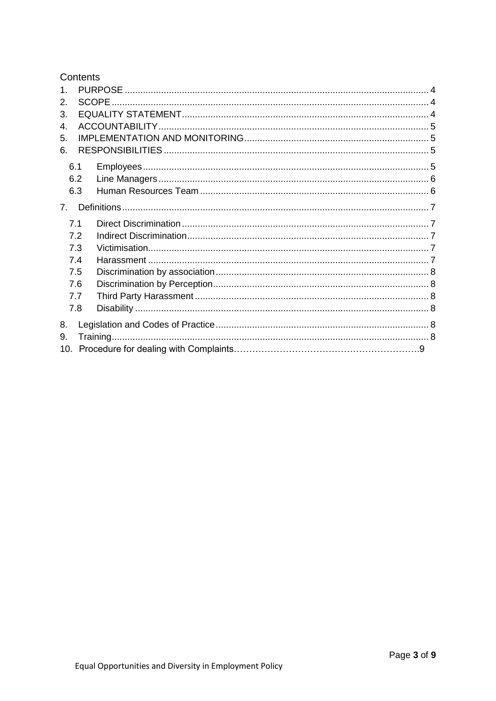#### Contents

<span id="page-2-0"></span>

| $\mathbf 1$    |     |  |
|----------------|-----|--|
| 2.             |     |  |
| 3.             |     |  |
| 4.             |     |  |
| 5.             |     |  |
| 6.             |     |  |
| 6.1            |     |  |
|                | 6.2 |  |
|                | 6.3 |  |
| 7 <sub>1</sub> |     |  |
|                |     |  |
| 7.1            |     |  |
|                | 7.2 |  |
|                | 7.3 |  |
|                | 7.4 |  |
|                | 7.5 |  |
|                | 7.6 |  |
|                | 7.7 |  |
|                | 7.8 |  |
| 8.             |     |  |
| 9.             |     |  |
|                |     |  |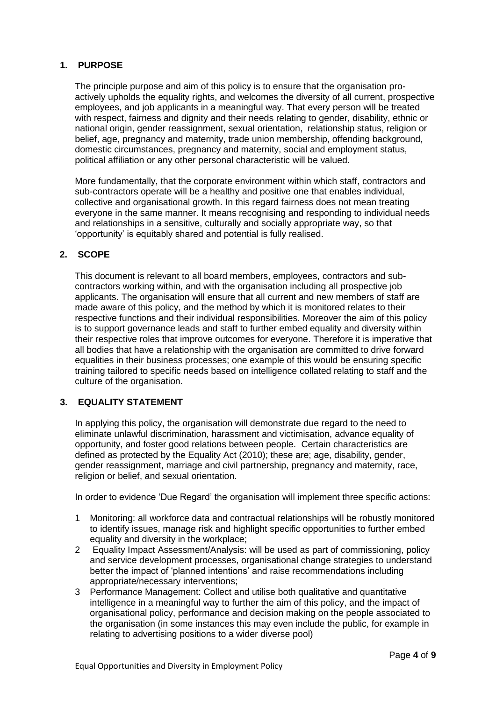#### **1. PURPOSE**

The principle purpose and aim of this policy is to ensure that the organisation proactively upholds the equality rights, and welcomes the diversity of all current, prospective employees, and job applicants in a meaningful way. That every person will be treated with respect, fairness and dignity and their needs relating to gender, disability, ethnic or national origin, gender reassignment, sexual orientation, relationship status, religion or belief, age, pregnancy and maternity, trade union membership, offending background, domestic circumstances, pregnancy and maternity, social and employment status, political affiliation or any other personal characteristic will be valued.

More fundamentally, that the corporate environment within which staff, contractors and sub-contractors operate will be a healthy and positive one that enables individual, collective and organisational growth. In this regard fairness does not mean treating everyone in the same manner. It means recognising and responding to individual needs and relationships in a sensitive, culturally and socially appropriate way, so that 'opportunity' is equitably shared and potential is fully realised.

#### <span id="page-3-0"></span>**2. SCOPE**

This document is relevant to all board members, employees, contractors and subcontractors working within, and with the organisation including all prospective job applicants. The organisation will ensure that all current and new members of staff are made aware of this policy, and the method by which it is monitored relates to their respective functions and their individual responsibilities. Moreover the aim of this policy is to support governance leads and staff to further embed equality and diversity within their respective roles that improve outcomes for everyone. Therefore it is imperative that all bodies that have a relationship with the organisation are committed to drive forward equalities in their business processes; one example of this would be ensuring specific training tailored to specific needs based on intelligence collated relating to staff and the culture of the organisation.

#### <span id="page-3-1"></span>**3. EQUALITY STATEMENT**

In applying this policy, the organisation will demonstrate due regard to the need to eliminate unlawful discrimination, harassment and victimisation, advance equality of opportunity, and foster good relations between people. Certain characteristics are defined as protected by the Equality Act (2010); these are; age, disability, gender, gender reassignment, marriage and civil partnership, pregnancy and maternity, race, religion or belief, and sexual orientation.

In order to evidence 'Due Regard' the organisation will implement three specific actions:

- 1 Monitoring: all workforce data and contractual relationships will be robustly monitored to identify issues, manage risk and highlight specific opportunities to further embed equality and diversity in the workplace;
- 2 Equality Impact Assessment/Analysis: will be used as part of commissioning, policy and service development processes, organisational change strategies to understand better the impact of 'planned intentions' and raise recommendations including appropriate/necessary interventions;
- 3 Performance Management: Collect and utilise both qualitative and quantitative intelligence in a meaningful way to further the aim of this policy, and the impact of organisational policy, performance and decision making on the people associated to the organisation (in some instances this may even include the public, for example in relating to advertising positions to a wider diverse pool)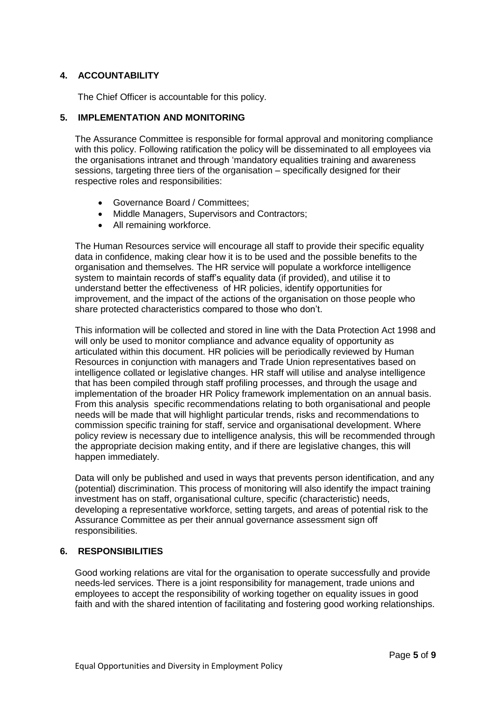#### <span id="page-4-0"></span>**4. ACCOUNTABILITY**

The Chief Officer is accountable for this policy.

#### <span id="page-4-1"></span>**5. IMPLEMENTATION AND MONITORING**

The Assurance Committee is responsible for formal approval and monitoring compliance with this policy. Following ratification the policy will be disseminated to all employees via the organisations intranet and through 'mandatory equalities training and awareness sessions, targeting three tiers of the organisation – specifically designed for their respective roles and responsibilities:

- Governance Board / Committees;
- Middle Managers, Supervisors and Contractors;
- All remaining workforce.

The Human Resources service will encourage all staff to provide their specific equality data in confidence, making clear how it is to be used and the possible benefits to the organisation and themselves. The HR service will populate a workforce intelligence system to maintain records of staff's equality data (if provided), and utilise it to understand better the effectiveness of HR policies, identify opportunities for improvement, and the impact of the actions of the organisation on those people who share protected characteristics compared to those who don't.

This information will be collected and stored in line with the Data Protection Act 1998 and will only be used to monitor compliance and advance equality of opportunity as articulated within this document. HR policies will be periodically reviewed by Human Resources in conjunction with managers and Trade Union representatives based on intelligence collated or legislative changes. HR staff will utilise and analyse intelligence that has been compiled through staff profiling processes, and through the usage and implementation of the broader HR Policy framework implementation on an annual basis. From this analysis specific recommendations relating to both organisational and people needs will be made that will highlight particular trends, risks and recommendations to commission specific training for staff, service and organisational development. Where policy review is necessary due to intelligence analysis, this will be recommended through the appropriate decision making entity, and if there are legislative changes, this will happen immediately.

Data will only be published and used in ways that prevents person identification, and any (potential) discrimination. This process of monitoring will also identify the impact training investment has on staff, organisational culture, specific (characteristic) needs, developing a representative workforce, setting targets, and areas of potential risk to the Assurance Committee as per their annual governance assessment sign off responsibilities.

#### <span id="page-4-2"></span>**6. RESPONSIBILITIES**

Good working relations are vital for the organisation to operate successfully and provide needs-led services. There is a joint responsibility for management, trade unions and employees to accept the responsibility of working together on equality issues in good faith and with the shared intention of facilitating and fostering good working relationships.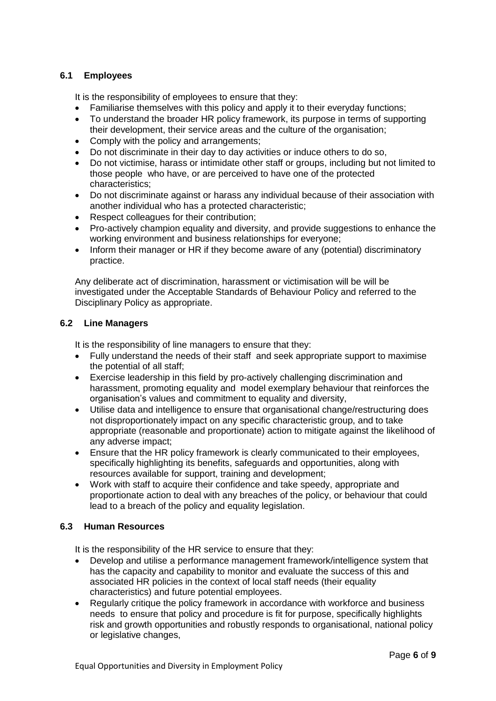#### <span id="page-5-0"></span>**6.1 Employees**

It is the responsibility of employees to ensure that they:

- Familiarise themselves with this policy and apply it to their everyday functions;
- To understand the broader HR policy framework, its purpose in terms of supporting their development, their service areas and the culture of the organisation;
- Comply with the policy and arrangements;
- Do not discriminate in their day to day activities or induce others to do so,
- Do not victimise, harass or intimidate other staff or groups, including but not limited to those people who have, or are perceived to have one of the protected characteristics;
- Do not discriminate against or harass any individual because of their association with another individual who has a protected characteristic;
- Respect colleagues for their contribution;
- Pro-actively champion equality and diversity, and provide suggestions to enhance the working environment and business relationships for everyone;
- Inform their manager or HR if they become aware of any (potential) discriminatory practice.

Any deliberate act of discrimination, harassment or victimisation will be will be investigated under the Acceptable Standards of Behaviour Policy and referred to the Disciplinary Policy as appropriate.

#### <span id="page-5-1"></span>**6.2 Line Managers**

It is the responsibility of line managers to ensure that they:

- Fully understand the needs of their staff and seek appropriate support to maximise the potential of all staff;
- Exercise leadership in this field by pro-actively challenging discrimination and harassment, promoting equality and model exemplary behaviour that reinforces the organisation's values and commitment to equality and diversity,
- Utilise data and intelligence to ensure that organisational change/restructuring does not disproportionately impact on any specific characteristic group, and to take appropriate (reasonable and proportionate) action to mitigate against the likelihood of any adverse impact;
- Ensure that the HR policy framework is clearly communicated to their employees, specifically highlighting its benefits, safeguards and opportunities, along with resources available for support, training and development;
- Work with staff to acquire their confidence and take speedy, appropriate and proportionate action to deal with any breaches of the policy, or behaviour that could lead to a breach of the policy and equality legislation.

#### <span id="page-5-2"></span>**6.3 Human Resources**

It is the responsibility of the HR service to ensure that they:

- Develop and utilise a performance management framework/intelligence system that has the capacity and capability to monitor and evaluate the success of this and associated HR policies in the context of local staff needs (their equality characteristics) and future potential employees.
- Regularly critique the policy framework in accordance with workforce and business needs to ensure that policy and procedure is fit for purpose, specifically highlights risk and growth opportunities and robustly responds to organisational, national policy or legislative changes,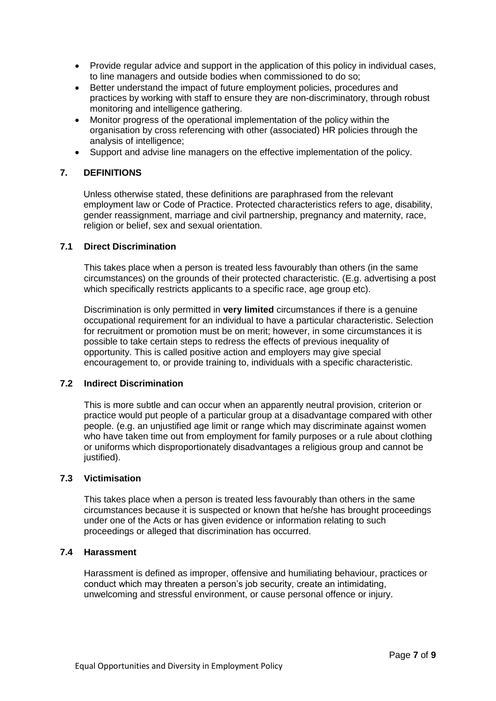- Provide regular advice and support in the application of this policy in individual cases, to line managers and outside bodies when commissioned to do so;
- Better understand the impact of future employment policies, procedures and practices by working with staff to ensure they are non-discriminatory, through robust monitoring and intelligence gathering.
- Monitor progress of the operational implementation of the policy within the organisation by cross referencing with other (associated) HR policies through the analysis of intelligence;
- Support and advise line managers on the effective implementation of the policy.

#### <span id="page-6-0"></span>**7. DEFINITIONS**

Unless otherwise stated, these definitions are paraphrased from the relevant employment law or Code of Practice. Protected characteristics refers to age, disability, gender reassignment, marriage and civil partnership, pregnancy and maternity, race, religion or belief, sex and sexual orientation.

#### <span id="page-6-1"></span>**7.1 Direct Discrimination**

This takes place when a person is treated less favourably than others (in the same circumstances) on the grounds of their protected characteristic. (E.g. advertising a post which specifically restricts applicants to a specific race, age group etc).

Discrimination is only permitted in **very limited** circumstances if there is a genuine occupational requirement for an individual to have a particular characteristic. Selection for recruitment or promotion must be on merit; however, in some circumstances it is possible to take certain steps to redress the effects of previous inequality of opportunity. This is called positive action and employers may give special encouragement to, or provide training to, individuals with a specific characteristic.

#### <span id="page-6-2"></span>**7.2 Indirect Discrimination**

This is more subtle and can occur when an apparently neutral provision, criterion or practice would put people of a particular group at a disadvantage compared with other people. (e.g. an unjustified age limit or range which may discriminate against women who have taken time out from employment for family purposes or a rule about clothing or uniforms which disproportionately disadvantages a religious group and cannot be justified).

#### <span id="page-6-3"></span>**7.3 Victimisation**

This takes place when a person is treated less favourably than others in the same circumstances because it is suspected or known that he/she has brought proceedings under one of the Acts or has given evidence or information relating to such proceedings or alleged that discrimination has occurred.

#### <span id="page-6-4"></span>**7.4 Harassment**

Harassment is defined as improper, offensive and humiliating behaviour, practices or conduct which may threaten a person's job security, create an intimidating, unwelcoming and stressful environment, or cause personal offence or injury.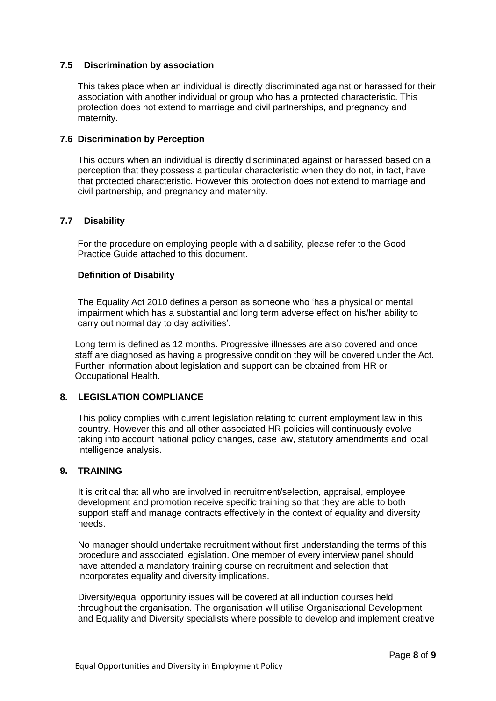#### <span id="page-7-0"></span>**7.5 Discrimination by association**

This takes place when an individual is directly discriminated against or harassed for their association with another individual or group who has a protected characteristic. This protection does not extend to marriage and civil partnerships, and pregnancy and maternity.

#### <span id="page-7-1"></span>**7.6 Discrimination by Perception**

This occurs when an individual is directly discriminated against or harassed based on a perception that they possess a particular characteristic when they do not, in fact, have that protected characteristic. However this protection does not extend to marriage and civil partnership, and pregnancy and maternity.

#### **7.7 Disability**

For the procedure on employing people with a disability, please refer to the Good Practice Guide attached to this document.

#### **Definition of Disability**

The Equality Act 2010 defines a person as someone who 'has a physical or mental impairment which has a substantial and long term adverse effect on his/her ability to carry out normal day to day activities'.

Long term is defined as 12 months. Progressive illnesses are also covered and once staff are diagnosed as having a progressive condition they will be covered under the Act. Further information about legislation and support can be obtained from HR or Occupational Health.

#### <span id="page-7-2"></span>**8. LEGISLATION COMPLIANCE**

This policy complies with current legislation relating to current employment law in this country. However this and all other associated HR policies will continuously evolve taking into account national policy changes, case law, statutory amendments and local intelligence analysis.

#### <span id="page-7-3"></span>**9. TRAINING**

It is critical that all who are involved in recruitment/selection, appraisal, employee development and promotion receive specific training so that they are able to both support staff and manage contracts effectively in the context of equality and diversity needs.

No manager should undertake recruitment without first understanding the terms of this procedure and associated legislation. One member of every interview panel should have attended a mandatory training course on recruitment and selection that incorporates equality and diversity implications.

Diversity/equal opportunity issues will be covered at all induction courses held throughout the organisation. The organisation will utilise Organisational Development and Equality and Diversity specialists where possible to develop and implement creative